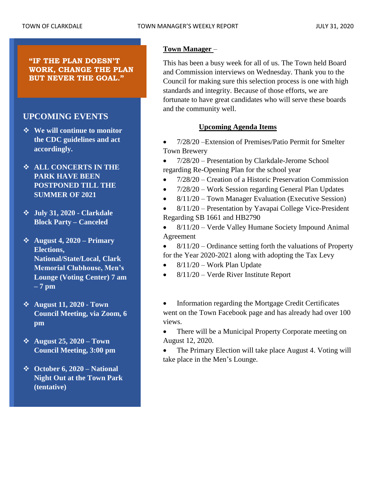**"IF THE PLAN DOESN'T WORK, CHANGE THE PLAN BUT NEVER THE GOAL."**

## **UPCOMING EVENTS**

- ❖ **We will continue to monitor the CDC guidelines and act accordingly.**
- ❖ **ALL CONCERTS IN THE PARK HAVE BEEN POSTPONED TILL THE SUMMER OF 2021**
- ❖ **July 31, 2020 - Clarkdale Block Party – Canceled**
- ❖ **August 4, 2020 – Primary Elections, National/State/Local, Clark Memorial Clubhouse, Men's Lounge (Voting Center) 7 am – 7 pm**
- ❖ **August 11, 2020 - Town Council Meeting, via Zoom, 6 pm**
- ❖ **August 25, 2020 – Town Council Meeting, 3:00 pm**
- ❖ **October 6, 2020 – National Night Out at the Town Park (tentative)**

## **Town Manager** –

This has been a busy week for all of us. The Town held Board and Commission interviews on Wednesday. Thank you to the Council for making sure this selection process is one with high standards and integrity. Because of those efforts, we are fortunate to have great candidates who will serve these boards and the community well.

## **Upcoming Agenda Items**

• 7/28/20 –Extension of Premises/Patio Permit for Smelter Town Brewery

• 7/28/20 – Presentation by Clarkdale-Jerome School regarding Re-Opening Plan for the school year

- 7/28/20 Creation of a Historic Preservation Commission
- 7/28/20 Work Session regarding General Plan Updates
- 8/11/20 Town Manager Evaluation (Executive Session)
- 8/11/20 Presentation by Yavapai College Vice-President Regarding SB 1661 and HB2790
- 8/11/20 Verde Valley Humane Society Impound Animal Agreement
- $8/11/20$  Ordinance setting forth the valuations of Property for the Year 2020-2021 along with adopting the Tax Levy
- $8/11/20$  Work Plan Update
- 8/11/20 Verde River Institute Report
- Information regarding the Mortgage Credit Certificates went on the Town Facebook page and has already had over 100 views.
- There will be a Municipal Property Corporate meeting on August 12, 2020.
- The Primary Election will take place August 4. Voting will take place in the Men's Lounge.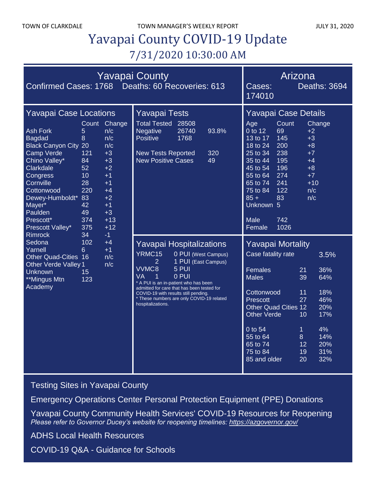# Yavapai County COVID-19 Update 7/31/2020 10:30:00 AM

| Confirmed Cases: 1768 Deaths: 60 Recoveries: 613                                                                                                                                                                                                                                                                                                                                                           | <b>Yavapai County</b>                                                                                                                                                                                                                                                         | Arizona<br>Deaths: 3694<br>Cases:<br>174010                                                                                                                                                                                                                                                                                           |                                                                                                                                                                                                                                                                                                                                                                                      |
|------------------------------------------------------------------------------------------------------------------------------------------------------------------------------------------------------------------------------------------------------------------------------------------------------------------------------------------------------------------------------------------------------------|-------------------------------------------------------------------------------------------------------------------------------------------------------------------------------------------------------------------------------------------------------------------------------|---------------------------------------------------------------------------------------------------------------------------------------------------------------------------------------------------------------------------------------------------------------------------------------------------------------------------------------|--------------------------------------------------------------------------------------------------------------------------------------------------------------------------------------------------------------------------------------------------------------------------------------------------------------------------------------------------------------------------------------|
| <b>Yavapai Case Locations</b><br><b>Ash Fork</b><br><b>Bagdad</b><br><b>Black Canyon City 20</b><br><b>Camp Verde</b><br>Chino Valley*<br>Clarkdale<br>Congress<br>Cornville<br>Cottonwood<br>Dewey-Humboldt* 83<br>Mayer*<br>Paulden<br>Prescott*<br>Prescott Valley*<br><b>Rimrock</b><br>Sedona<br>Yarnell<br><b>Other Quad-Cities 16</b><br>Other Verde Valley 1<br>Unknown<br>**Mingus Mtn<br>Academy | Count<br>Change<br>5<br>n/c<br>8<br>n/c<br>n/c<br>121<br>$+3$<br>84<br>$+3$<br>52<br>$+2$<br>10<br>$+1$<br>28<br>$+1$<br>220<br>$+4$<br>$+2$<br>$+1$<br>42<br>49<br>$+3$<br>374<br>$+13$<br>375<br>$+12$<br>34<br>$-1$<br>102<br>$+4$<br>6<br>$+1$<br>n/c<br>n/c<br>15<br>123 | <b>Yavapai Tests</b><br><b>Total Tested</b><br>28508<br>26740<br><b>Negative</b><br>93.8%<br>1768<br>Positive<br><b>New Tests Reported</b><br>320<br><b>New Positive Cases</b><br>49                                                                                                                                                  | Yavapai Case Details<br>Count<br>Age<br>Change<br>0 to 12<br>69<br>$+2$<br>145<br>13 to 17<br>$+3$<br>200<br>18 to 24<br>$+8$<br>$25$ to $34$<br>238<br>$+7$<br>195<br>35 to 44<br>$+4$<br>196<br>$+8$<br>45 to 54<br>274<br>$+7$<br>55 to 64<br>241<br>$+10$<br>65 to 74<br>122<br>75 to 84<br>n/c<br>$85 +$<br>83<br>n/c<br>Unknown 5<br>742<br>Male<br>1026<br>Female             |
|                                                                                                                                                                                                                                                                                                                                                                                                            |                                                                                                                                                                                                                                                                               | <b>Yavapai Hospitalizations</b><br>YRMC15<br>0 PUI (West Campus)<br>1 PUI (East Campus)<br>2<br>VVMC8<br>$5$ PUI<br>0 PUI<br>VA<br>1<br>* A PUI is an in-patient who has been<br>admitted for care that has been tested for<br>COVID-19 with results still pending.<br>* These numbers are only COVID-19 related<br>hospitalizations. | <b>Yavapai Mortality</b><br>Case fatality rate<br>3.5%<br>Females<br>21<br>36%<br><b>Males</b><br>39<br>64%<br>18%<br>Cottonwood<br>11<br>27<br>46%<br>Prescott<br><b>Other Quad Cities 12</b><br>20%<br><b>Other Verde</b><br>10<br>17%<br>4%<br>0 to 54<br>1<br>55 to 64<br>8<br>14%<br>65 to 74<br>20%<br>$12 \overline{ }$<br>75 to 84<br>31%<br>19<br>85 and older<br>20<br>32% |

[Testing Sites in Yavapai County](https://www.yavapai.us/Portals/39/COVID-19/TestingSitesinYavapaiCounty.pdf)

[Emergency Operations Center Personal Protection Equipment \(PPE\) Donations](http://www.yavapai.us/Portals/39/PPE%20Donations.pdf)

[Yavapai County Community Health Services' COVID-19 Resources for Reopening](https://www.yavapai.us/chs/COVID-19) *Please refer to Governor Ducey's website for reopening timelines: <https://azgovernor.gov/>*

[ADHS Local Health Resources](https://www.azdhs.gov/preparedness/epidemiology-disease-control/infectious-disease-epidemiology/index.php#novel-coronavirus-local-health-resources)

COVID-19 Q&A - [Guidance for Schools](https://www.yavapai.us/Portals/39/COVID-19/COVID-19_QA_GuidanceForSchools.pdf)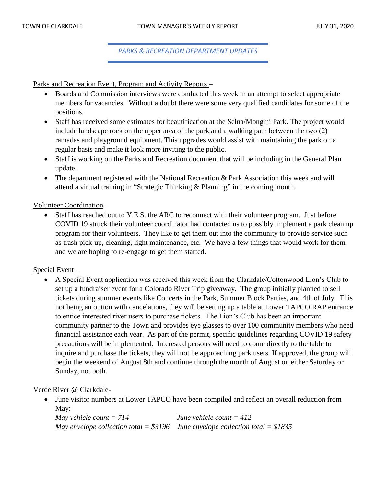*PARKS & RECREATION DEPARTMENT UPDATES*

Parks and Recreation Event, Program and Activity Reports –

- Boards and Commission interviews were conducted this week in an attempt to select appropriate members for vacancies. Without a doubt there were some very qualified candidates for some of the positions.
- Staff has received some estimates for beautification at the Selna/Mongini Park. The project would include landscape rock on the upper area of the park and a walking path between the two (2) ramadas and playground equipment. This upgrades would assist with maintaining the park on a regular basis and make it look more inviting to the public.
- Staff is working on the Parks and Recreation document that will be including in the General Plan update.
- The department registered with the National Recreation & Park Association this week and will attend a virtual training in "Strategic Thinking & Planning" in the coming month.

Volunteer Coordination –

Staff has reached out to Y.E.S. the ARC to reconnect with their volunteer program. Just before COVID 19 struck their volunteer coordinator had contacted us to possibly implement a park clean up program for their volunteers. They like to get them out into the community to provide service such as trash pick-up, cleaning, light maintenance, etc. We have a few things that would work for them and we are hoping to re-engage to get them started.

### Special Event –

• A Special Event application was received this week from the Clarkdale/Cottonwood Lion's Club to set up a fundraiser event for a Colorado River Trip giveaway. The group initially planned to sell tickets during summer events like Concerts in the Park, Summer Block Parties, and 4th of July. This not being an option with cancelations, they will be setting up a table at Lower TAPCO RAP entrance to entice interested river users to purchase tickets. The Lion's Club has been an important community partner to the Town and provides eye glasses to over 100 community members who need financial assistance each year. As part of the permit, specific guidelines regarding COVID 19 safety precautions will be implemented. Interested persons will need to come directly to the table to inquire and purchase the tickets, they will not be approaching park users. If approved, the group will begin the weekend of August 8th and continue through the month of August on either Saturday or Sunday, not both.

### Verde River @ Clarkdale-

• June visitor numbers at Lower TAPCO have been compiled and reflect an overall reduction from May:

*May vehicle count = 714 June vehicle count = 412 May envelope collection total = \$3196 June envelope collection total = \$1835*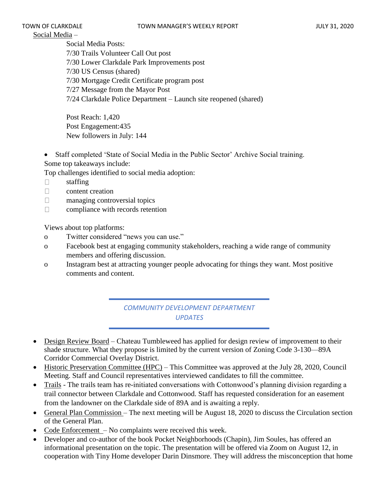## Social Media –

Social Media Posts: 7/30 Trails Volunteer Call Out post 7/30 Lower Clarkdale Park Improvements post 7/30 US Census (shared) 7/30 Mortgage Credit Certificate program post 7/27 Message from the Mayor Post 7/24 Clarkdale Police Department – Launch site reopened (shared)

Post Reach: 1,420 Post Engagement:435 New followers in July: 144

• Staff completed 'State of Social Media in the Public Sector' Archive Social training. Some top takeaways include:

Top challenges identified to social media adoption:

- $\Box$ staffing
- $\Box$ content creation
- $\Box$ managing controversial topics
- $\Box$ compliance with records retention

Views about top platforms:

- o Twitter considered "news you can use."
- o Facebook best at engaging community stakeholders, reaching a wide range of community members and offering discussion.
- o Instagram best at attracting younger people advocating for things they want. Most positive comments and content.

*COMMUNITY DEVELOPMENT DEPARTMENT UPDATES*

- Design Review Board Chateau Tumbleweed has applied for design review of improvement to their shade structure. What they propose is limited by the current version of Zoning Code 3-130—89A Corridor Commercial Overlay District.
- Historic Preservation Committee (HPC) This Committee was approved at the July 28, 2020, Council Meeting. Staff and Council representatives interviewed candidates to fill the committee.
- Trails The trails team has re-initiated conversations with Cottonwood's planning division regarding a trail connector between Clarkdale and Cottonwood. Staff has requested consideration for an easement from the landowner on the Clarkdale side of 89A and is awaiting a reply.
- General Plan Commission The next meeting will be August 18, 2020 to discuss the Circulation section of the General Plan.
- Code Enforcement No complaints were received this week.
- Developer and co-author of the book Pocket Neighborhoods (Chapin), Jim Soules, has offered an informational presentation on the topic. The presentation will be offered via Zoom on August 12, in cooperation with Tiny Home developer Darin Dinsmore. They will address the misconception that home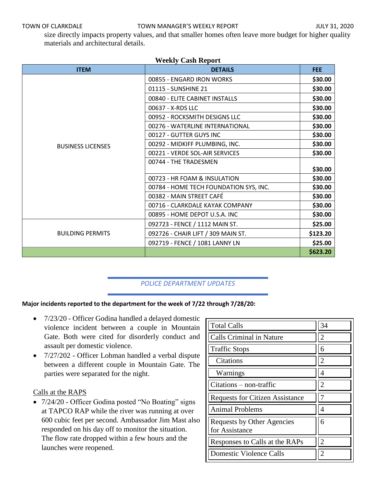size directly impacts property values, and that smaller homes often leave more budget for higher quality materials and architectural details.

| <b>Weekly Cash Report</b> |                                        |            |  |  |
|---------------------------|----------------------------------------|------------|--|--|
| <b>ITEM</b>               | <b>DETAILS</b>                         | <b>FEE</b> |  |  |
|                           | 00855 - ENGARD IRON WORKS              | \$30.00    |  |  |
|                           | 01115 - SUNSHINE 21                    | \$30.00    |  |  |
|                           | 00840 - ELITE CABINET INSTALLS         | \$30.00    |  |  |
|                           | 00637 - X-RDS LLC                      | \$30.00    |  |  |
|                           | 00952 - ROCKSMITH DESIGNS LLC          | \$30.00    |  |  |
|                           | 00276 - WATERLINE INTERNATIONAL        | \$30.00    |  |  |
|                           | 00127 - GUTTER GUYS INC                | \$30.00    |  |  |
| <b>BUSINESS LICENSES</b>  | 00292 - MIDKIFF PLUMBING, INC.         | \$30.00    |  |  |
|                           | 00221 - VERDE SOL-AIR SERVICES         | \$30.00    |  |  |
|                           | 00744 - THE TRADESMEN                  |            |  |  |
|                           |                                        | \$30.00    |  |  |
|                           | 00723 - HR FOAM & INSULATION           | \$30.00    |  |  |
|                           | 00784 - HOME TECH FOUNDATION SYS, INC. | \$30.00    |  |  |
|                           | 00382 - MAIN STREET CAFÉ               | \$30.00    |  |  |
|                           | 00716 - CLARKDALE KAYAK COMPANY        | \$30.00    |  |  |
|                           | 00895 - HOME DEPOT U.S.A. INC          | \$30.00    |  |  |
|                           | 092723 - FENCE / 1112 MAIN ST.         | \$25.00    |  |  |
| <b>BUILDING PERMITS</b>   | 092726 - CHAIR LIFT / 309 MAIN ST.     | \$123.20   |  |  |
|                           | 092719 - FENCE / 1081 LANNY LN         | \$25.00    |  |  |
|                           |                                        | \$623.20   |  |  |

### *POLICE DEPARTMENT UPDATES*

### **Major incidents reported to the department for the week of 7/22 through 7/28/20:**

- 7/23/20 Officer Godina handled a delayed domestic violence incident between a couple in Mountain Gate. Both were cited for disorderly conduct and assault per domestic violence.
- 7/27/202 Officer Lohman handled a verbal dispute between a different couple in Mountain Gate. The parties were separated for the night.

### Calls at the RAPS

• 7/24/20 - Officer Godina posted "No Boating" signs at TAPCO RAP while the river was running at over 600 cubic feet per second. Ambassador Jim Mast also responded on his day off to monitor the situation. The flow rate dropped within a few hours and the launches were reopened.

| <b>Total Calls</b>                                  | 34                          |
|-----------------------------------------------------|-----------------------------|
| <b>Calls Criminal in Nature</b>                     | $\mathcal{D}_{\mathcal{L}}$ |
| <b>Traffic Stops</b>                                | 6                           |
| Citations                                           | 2                           |
| Warnings                                            |                             |
| Citations – non-traffic                             | $\overline{2}$              |
| <b>Requests for Citizen Assistance</b>              |                             |
| Animal Problems                                     | 4                           |
| <b>Requests by Other Agencies</b><br>for Assistance | 6                           |
| Responses to Calls at the RAPs                      | $\overline{2}$              |
| <b>Domestic Violence Calls</b>                      |                             |